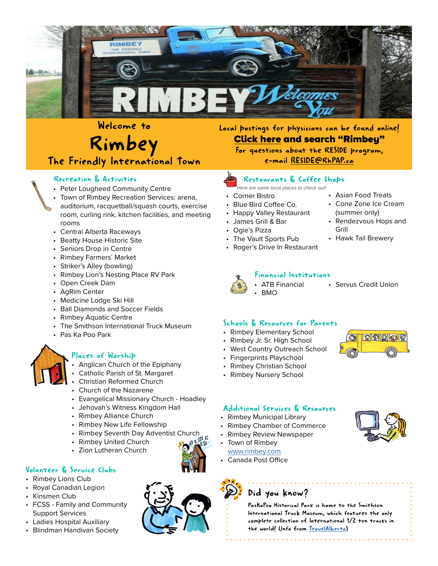

# Welcome to<br>Rimbey The Friendly International Town

### Recreation & Activities

- Peter Lougheed Community Centre
- Town of Rimbey Recreation Services: arena, auditorium, racquetball/squash courts, exercise room, curling rink, kitchen facilities, and meeting rooms
- Central Alberta Raceways
- Beatty House Historic Site
- Seniors Drop in Centre
- Rimbey Farmers' Market
- Striker's Alley (bowling)
- Rimbey Lion's Nesting Place RV Park
- Open Creek Dam
- AgRim Center
- Medicine Lodge Ski Hill
- Ball Diamonds and Soccer Fields
- Rimbey Aquatic Centre
- The Smithson International Truck Museum
- Pas Ka Poo Park



#### Places of Worship

- Anglican Church of the Epiphany
- Catholic Parish of St. Margaret
- Christian Reformed Church
- Church of the Nazarene
- Evangelical Missionary Church Hoadley
- Jehovah's Witness Kingdom Hall
- Rimbey Alliance Church
- Rimbey New Life Fellowship
- **Rimbey Seventh Day Adventist Church**<br>**Dimbey United Church**
- Rimbey United Church
- Zion Lutheran Church

#### Volunteer & Service Clubs

- Rimbey Lions Club
- Royal Canadian Legion
- Kinsmen Club
- FCSS Family and Community Support Services
- Ladies Hospital Auxiliary
- Blindman Handivan Society

Local postings for physicians can be found online! [Click here a](https://www.doctorjobsalberta.com/SearchResults.aspx)nd search "Rimbey" For questions about the RESIDE program, e-mail [RESIDE@RhPAP.ca](mailto:RESIDE%40RhPAP.ca?subject=Inquiry%20from%20Community%20Profile)

### Restaurants & Coffee Shops

- |<br>Here are some local places to check out!
- Corner Bistro
- Blue Bird Coffee Co.
- Happy Valley Restaurant
- James Grill & Bar
- Ogie's Pizza
- The Vault Sports Pub
- Roger's Drive In Restaurant



#### Financial Institutions

• Servus Credit Union

• Asian Food Treats • Cone Zone Ice Cream (summer only) • Rendezvous Hops and

• Hawk Tail Brewery

Grill

### Schools & Resources for Parents

• ATB Financial

- Rimbey Elementary School
- Rimbey Jr. Sr. High School
- West Country Outreach School
- Fingerprints Playschool
- Rimbey Christian School
- Rimbey Nursery School



- Rimbey Municipal Library
- Rimbey Chamber of Commerce
- Rimbey Review Newspaper
- Town of Rimbey [www.rimbey.com](http://www.rimbey.com)
- Canada Post Office



### Did you know?

PasKaPoo Historical Park is home to the Smithson International Truck Museum, which features the only complete collection of International 1/2 ton trucks in the world! (Info from [TravelAlberta\)](https://www.travelalberta.com/ca/listings/paskapoo-historical-park-and-smithson-international-truck-museum-4185/)



9900